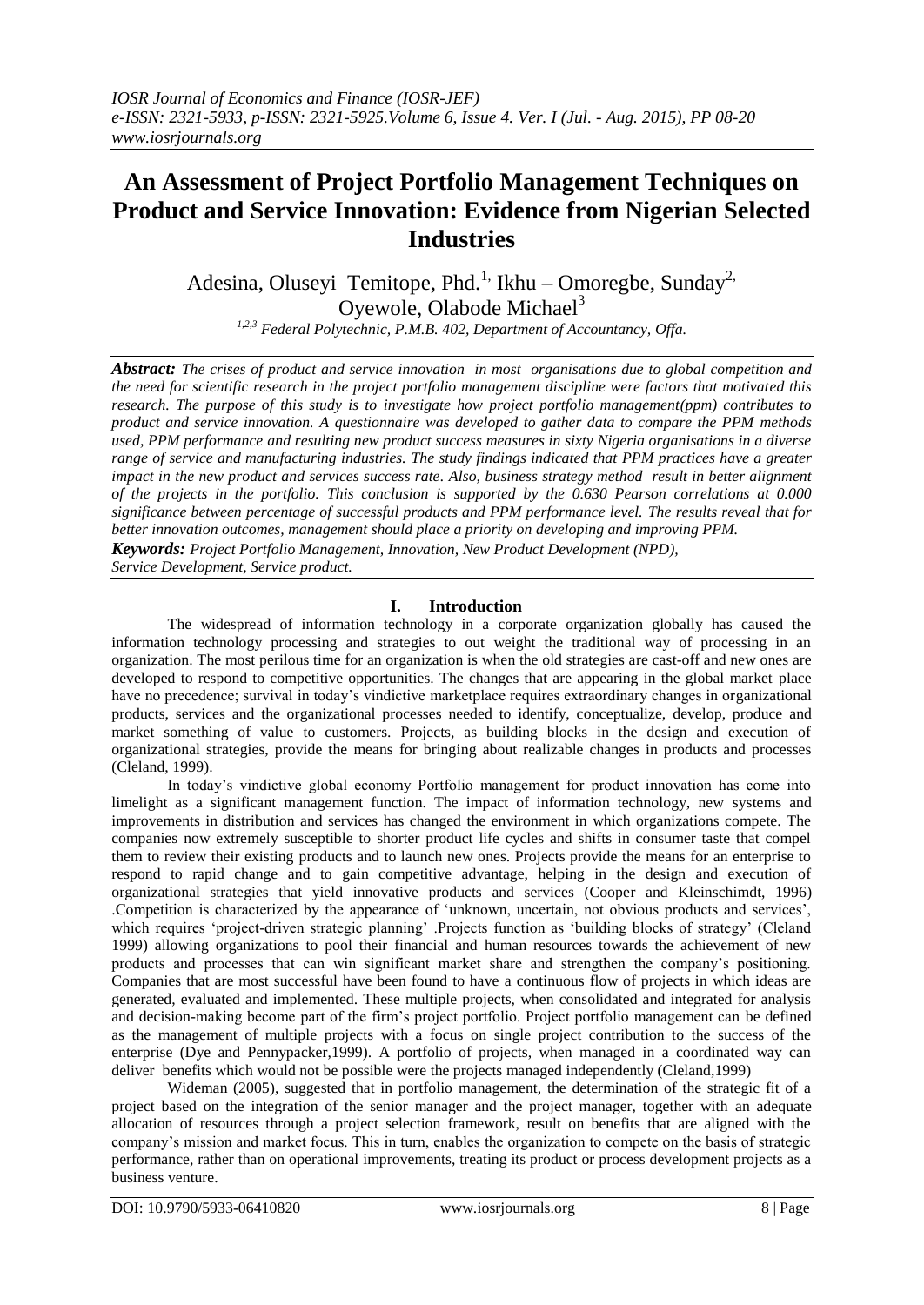# **An Assessment of Project Portfolio Management Techniques on Product and Service Innovation: Evidence from Nigerian Selected Industries**

Adesina, Oluseyi Temitope, Phd.<sup>1,</sup> Ikhu – Omoregbe, Sunday<sup>2,</sup> Oyewole, Olabode Michael<sup>3</sup>

*1,2,3 Federal Polytechnic, P.M.B. 402, Department of Accountancy, Offa.*

*Abstract: The crises of product and service innovation in most organisations due to global competition and the need for scientific research in the project portfolio management discipline were factors that motivated this research. The purpose of this study is to investigate how project portfolio management(ppm) contributes to product and service innovation. A questionnaire was developed to gather data to compare the PPM methods used, PPM performance and resulting new product success measures in sixty Nigeria organisations in a diverse range of service and manufacturing industries. The study findings indicated that PPM practices have a greater impact in the new product and services success rate. Also, business strategy method result in better alignment of the projects in the portfolio. This conclusion is supported by the 0.630 Pearson correlations at 0.000 significance between percentage of successful products and PPM performance level. The results reveal that for better innovation outcomes, management should place a priority on developing and improving PPM. Keywords: Project Portfolio Management, Innovation, New Product Development (NPD),* 

*Service Development, Service product.*

### **I. Introduction**

The widespread of information technology in a corporate organization globally has caused the information technology processing and strategies to out weight the traditional way of processing in an organization. The most perilous time for an organization is when the old strategies are cast-off and new ones are developed to respond to competitive opportunities. The changes that are appearing in the global market place have no precedence; survival in today"s vindictive marketplace requires extraordinary changes in organizational products, services and the organizational processes needed to identify, conceptualize, develop, produce and market something of value to customers. Projects, as building blocks in the design and execution of organizational strategies, provide the means for bringing about realizable changes in products and processes (Cleland, 1999).

In today"s vindictive global economy Portfolio management for product innovation has come into limelight as a significant management function. The impact of information technology, new systems and improvements in distribution and services has changed the environment in which organizations compete. The companies now extremely susceptible to shorter product life cycles and shifts in consumer taste that compel them to review their existing products and to launch new ones. Projects provide the means for an enterprise to respond to rapid change and to gain competitive advantage, helping in the design and execution of organizational strategies that yield innovative products and services (Cooper and Kleinschimdt, 1996) .Competition is characterized by the appearance of "unknown, uncertain, not obvious products and services", which requires 'project-driven strategic planning' .Projects function as 'building blocks of strategy' (Cleland 1999) allowing organizations to pool their financial and human resources towards the achievement of new products and processes that can win significant market share and strengthen the company"s positioning. Companies that are most successful have been found to have a continuous flow of projects in which ideas are generated, evaluated and implemented. These multiple projects, when consolidated and integrated for analysis and decision-making become part of the firm"s project portfolio. Project portfolio management can be defined as the management of multiple projects with a focus on single project contribution to the success of the enterprise (Dye and Pennypacker,1999). A portfolio of projects, when managed in a coordinated way can deliver benefits which would not be possible were the projects managed independently (Cleland,1999)

Wideman (2005), suggested that in portfolio management, the determination of the strategic fit of a project based on the integration of the senior manager and the project manager, together with an adequate allocation of resources through a project selection framework, result on benefits that are aligned with the company"s mission and market focus. This in turn, enables the organization to compete on the basis of strategic performance, rather than on operational improvements, treating its product or process development projects as a business venture.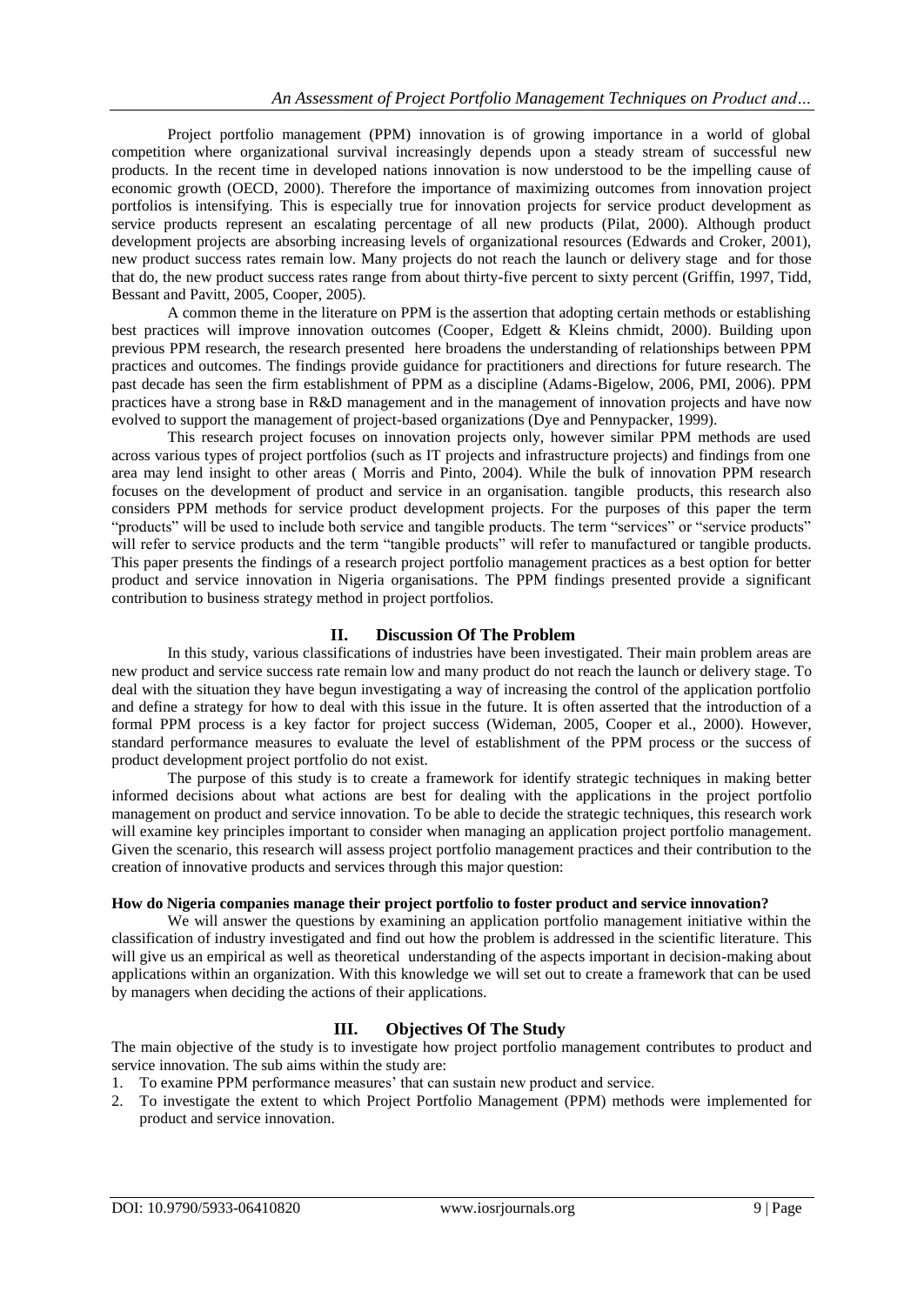Project portfolio management (PPM) innovation is of growing importance in a world of global competition where organizational survival increasingly depends upon a steady stream of successful new products. In the recent time in developed nations innovation is now understood to be the impelling cause of economic growth (OECD, 2000). Therefore the importance of maximizing outcomes from innovation project portfolios is intensifying. This is especially true for innovation projects for service product development as service products represent an escalating percentage of all new products (Pilat, 2000). Although product development projects are absorbing increasing levels of organizational resources (Edwards and Croker, 2001), new product success rates remain low. Many projects do not reach the launch or delivery stage and for those that do, the new product success rates range from about thirty-five percent to sixty percent (Griffin, 1997, Tidd, Bessant and Pavitt, 2005, Cooper, 2005).

A common theme in the literature on PPM is the assertion that adopting certain methods or establishing best practices will improve innovation outcomes (Cooper, Edgett & Kleins chmidt, 2000). Building upon previous PPM research, the research presented here broadens the understanding of relationships between PPM practices and outcomes. The findings provide guidance for practitioners and directions for future research. The past decade has seen the firm establishment of PPM as a discipline (Adams-Bigelow, 2006, PMI, 2006). PPM practices have a strong base in R&D management and in the management of innovation projects and have now evolved to support the management of project-based organizations (Dye and Pennypacker, 1999).

This research project focuses on innovation projects only, however similar PPM methods are used across various types of project portfolios (such as IT projects and infrastructure projects) and findings from one area may lend insight to other areas ( Morris and Pinto, 2004). While the bulk of innovation PPM research focuses on the development of product and service in an organisation. tangible products, this research also considers PPM methods for service product development projects. For the purposes of this paper the term "products" will be used to include both service and tangible products. The term "services" or "service products" will refer to service products and the term "tangible products" will refer to manufactured or tangible products. This paper presents the findings of a research project portfolio management practices as a best option for better product and service innovation in Nigeria organisations. The PPM findings presented provide a significant contribution to business strategy method in project portfolios.

### **II. Discussion Of The Problem**

In this study, various classifications of industries have been investigated. Their main problem areas are new product and service success rate remain low and many product do not reach the launch or delivery stage. To deal with the situation they have begun investigating a way of increasing the control of the application portfolio and define a strategy for how to deal with this issue in the future. It is often asserted that the introduction of a formal PPM process is a key factor for project success (Wideman, 2005, Cooper et al., 2000). However, standard performance measures to evaluate the level of establishment of the PPM process or the success of product development project portfolio do not exist.

The purpose of this study is to create a framework for identify strategic techniques in making better informed decisions about what actions are best for dealing with the applications in the project portfolio management on product and service innovation. To be able to decide the strategic techniques, this research work will examine key principles important to consider when managing an application project portfolio management. Given the scenario, this research will assess project portfolio management practices and their contribution to the creation of innovative products and services through this major question:

### **How do Nigeria companies manage their project portfolio to foster product and service innovation?**

We will answer the questions by examining an application portfolio management initiative within the classification of industry investigated and find out how the problem is addressed in the scientific literature. This will give us an empirical as well as theoretical understanding of the aspects important in decision-making about applications within an organization. With this knowledge we will set out to create a framework that can be used by managers when deciding the actions of their applications.

### **III. Objectives Of The Study**

The main objective of the study is to investigate how project portfolio management contributes to product and service innovation. The sub aims within the study are:

- 1. To examine PPM performance measures" that can sustain new product and service.
- 2. To investigate the extent to which Project Portfolio Management (PPM) methods were implemented for product and service innovation.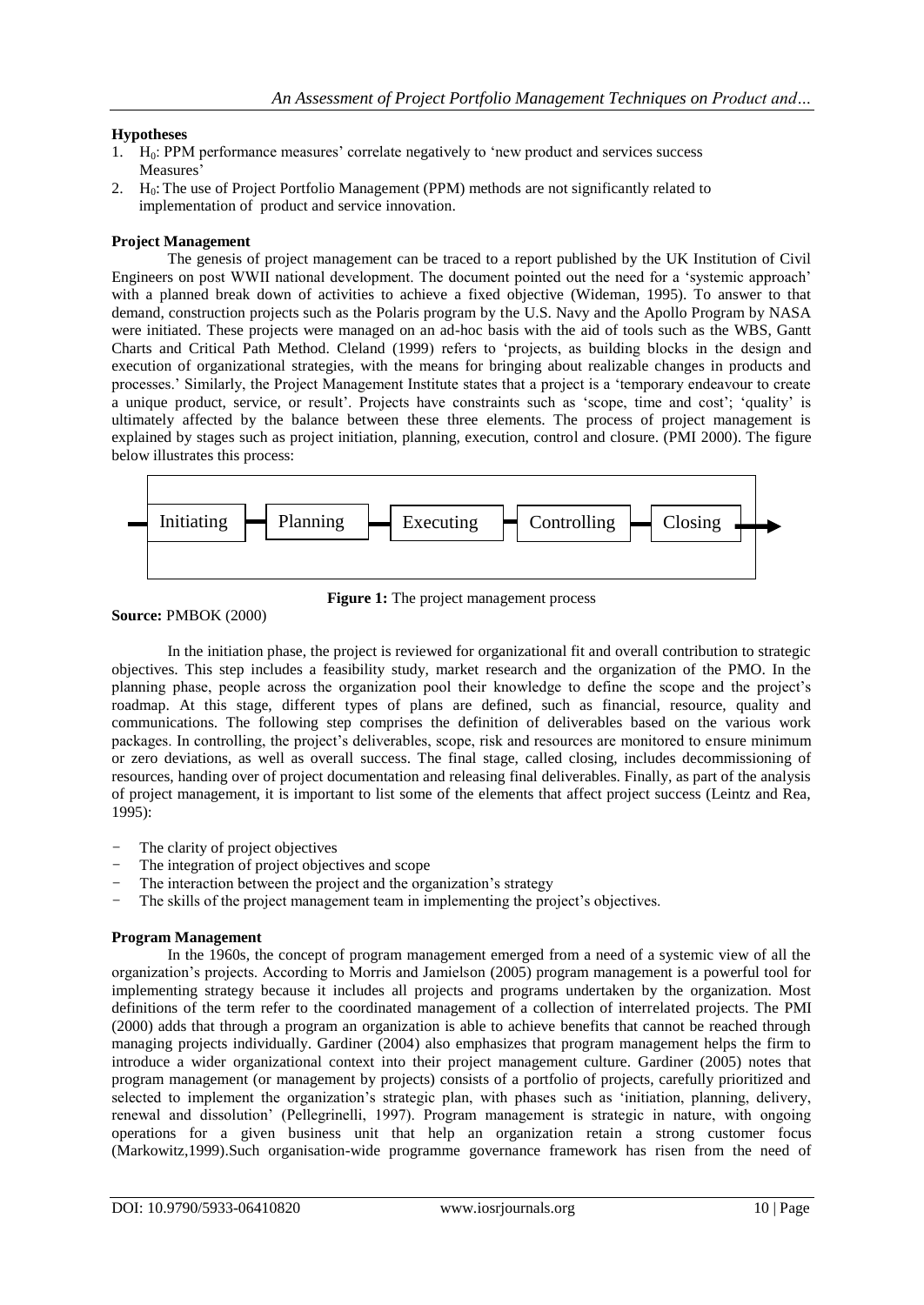### **Hypotheses**

- $1.$  H<sub>0</sub>: PPM performance measures' correlate negatively to 'new product and services success Measures'
- 2.  $H_0$ : The use of Project Portfolio Management (PPM) methods are not significantly related to implementation of product and service innovation.

### **Project Management**

The genesis of project management can be traced to a report published by the UK Institution of Civil Engineers on post WWII national development. The document pointed out the need for a "systemic approach" with a planned break down of activities to achieve a fixed objective (Wideman, 1995). To answer to that demand, construction projects such as the Polaris program by the U.S. Navy and the Apollo Program by NASA were initiated. These projects were managed on an ad-hoc basis with the aid of tools such as the WBS, Gantt Charts and Critical Path Method. Cleland (1999) refers to "projects, as building blocks in the design and execution of organizational strategies, with the means for bringing about realizable changes in products and processes." Similarly, the Project Management Institute states that a project is a "temporary endeavour to create a unique product, service, or result'. Projects have constraints such as 'scope, time and cost'; 'quality' is ultimately affected by the balance between these three elements. The process of project management is explained by stages such as project initiation, planning, execution, control and closure. (PMI 2000). The figure below illustrates this process:



**Figure 1:** The project management process

### **Source:** PMBOK (2000)

In the initiation phase, the project is reviewed for organizational fit and overall contribution to strategic objectives. This step includes a feasibility study, market research and the organization of the PMO. In the planning phase, people across the organization pool their knowledge to define the scope and the project"s roadmap. At this stage, different types of plans are defined, such as financial, resource, quality and communications. The following step comprises the definition of deliverables based on the various work packages. In controlling, the project's deliverables, scope, risk and resources are monitored to ensure minimum or zero deviations, as well as overall success. The final stage, called closing, includes decommissioning of resources, handing over of project documentation and releasing final deliverables. Finally, as part of the analysis of project management, it is important to list some of the elements that affect project success (Leintz and Rea, 1995):

- The clarity of project objectives
- The integration of project objectives and scope
- The interaction between the project and the organization's strategy
- The skills of the project management team in implementing the project's objectives.

### **Program Management**

In the 1960s, the concept of program management emerged from a need of a systemic view of all the organization"s projects. According to Morris and Jamielson (2005) program management is a powerful tool for implementing strategy because it includes all projects and programs undertaken by the organization. Most definitions of the term refer to the coordinated management of a collection of interrelated projects. The PMI (2000) adds that through a program an organization is able to achieve benefits that cannot be reached through managing projects individually. Gardiner (2004) also emphasizes that program management helps the firm to introduce a wider organizational context into their project management culture. Gardiner (2005) notes that program management (or management by projects) consists of a portfolio of projects, carefully prioritized and selected to implement the organization's strategic plan, with phases such as 'initiation, planning, delivery, renewal and dissolution" (Pellegrinelli, 1997). Program management is strategic in nature, with ongoing operations for a given business unit that help an organization retain a strong customer focus (Markowitz,1999).Such organisation-wide programme governance framework has risen from the need of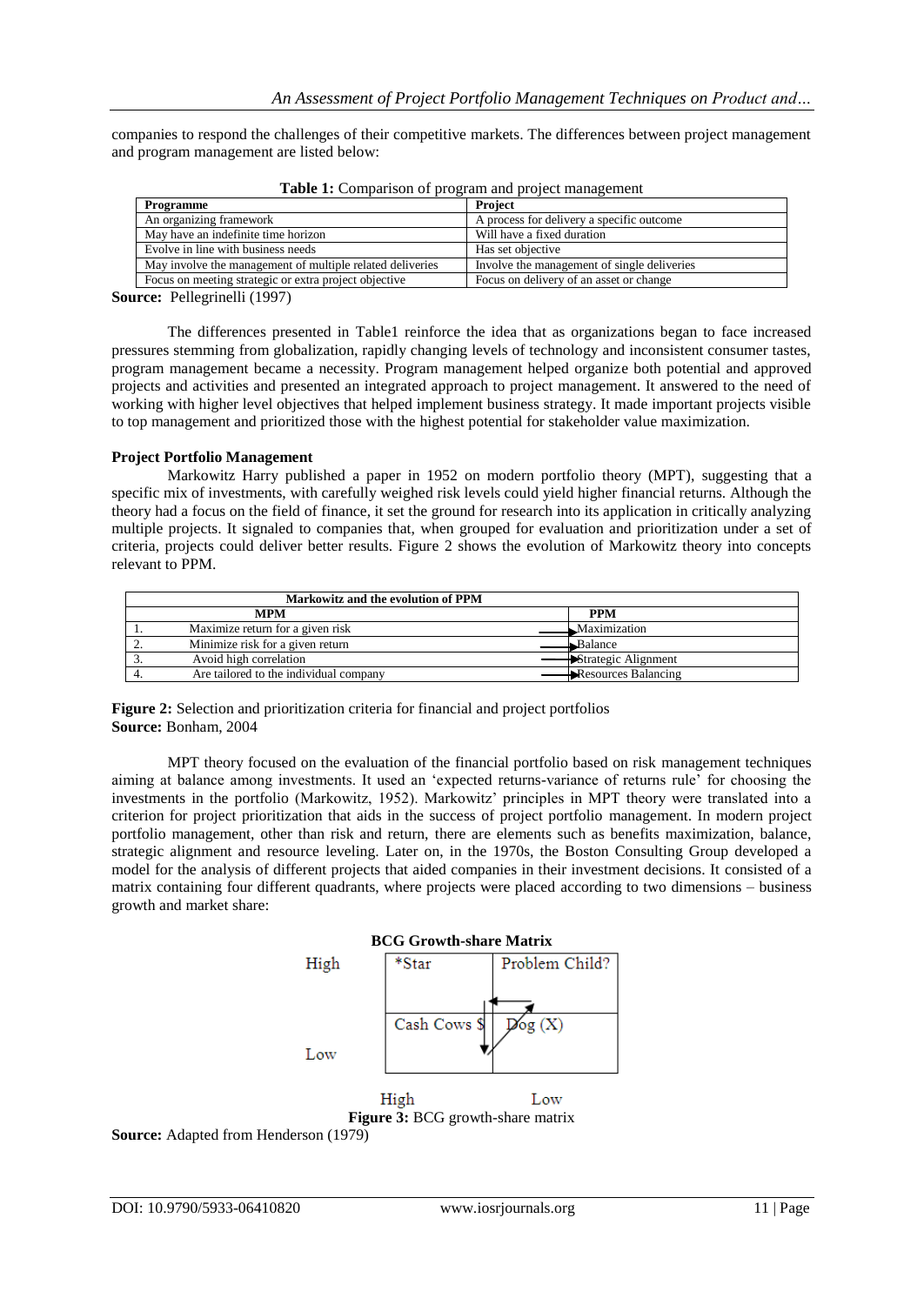companies to respond the challenges of their competitive markets. The differences between project management and program management are listed below:

| Programme                                                 | <b>Project</b>                              |
|-----------------------------------------------------------|---------------------------------------------|
| An organizing framework                                   | A process for delivery a specific outcome   |
| May have an indefinite time horizon                       | Will have a fixed duration                  |
| Evolve in line with business needs                        | Has set objective                           |
| May involve the management of multiple related deliveries | Involve the management of single deliveries |
| Focus on meeting strategic or extra project objective     | Focus on delivery of an asset or change     |
| $P = 11$ $P = 11'$ $(1007)$                               |                                             |

**Table 1:** Comparison of program and project management

**Source:** Pellegrinelli (1997)

The differences presented in Table1 reinforce the idea that as organizations began to face increased pressures stemming from globalization, rapidly changing levels of technology and inconsistent consumer tastes, program management became a necessity. Program management helped organize both potential and approved projects and activities and presented an integrated approach to project management. It answered to the need of working with higher level objectives that helped implement business strategy. It made important projects visible to top management and prioritized those with the highest potential for stakeholder value maximization.

### **Project Portfolio Management**

Markowitz Harry published a paper in 1952 on modern portfolio theory (MPT), suggesting that a specific mix of investments, with carefully weighed risk levels could yield higher financial returns. Although the theory had a focus on the field of finance, it set the ground for research into its application in critically analyzing multiple projects. It signaled to companies that, when grouped for evaluation and prioritization under a set of criteria, projects could deliver better results. Figure 2 shows the evolution of Markowitz theory into concepts relevant to PPM.

| Markowitz and the evolution of PPM     |                     |  |
|----------------------------------------|---------------------|--|
| <b>MPM</b>                             | <b>PPM</b>          |  |
| Maximize return for a given risk       | Maximization        |  |
| Minimize risk for a given return       | Balance             |  |
| Avoid high correlation                 | Strategic Alignment |  |
| Are tailored to the individual company | Resources Balancing |  |

**Figure 2:** Selection and prioritization criteria for financial and project portfolios **Source:** Bonham, 2004

MPT theory focused on the evaluation of the financial portfolio based on risk management techniques aiming at balance among investments. It used an "expected returns-variance of returns rule" for choosing the investments in the portfolio (Markowitz, 1952). Markowitz' principles in MPT theory were translated into a criterion for project prioritization that aids in the success of project portfolio management. In modern project portfolio management, other than risk and return, there are elements such as benefits maximization, balance, strategic alignment and resource leveling. Later on, in the 1970s, the Boston Consulting Group developed a model for the analysis of different projects that aided companies in their investment decisions. It consisted of a matrix containing four different quadrants, where projects were placed according to two dimensions – business growth and market share:



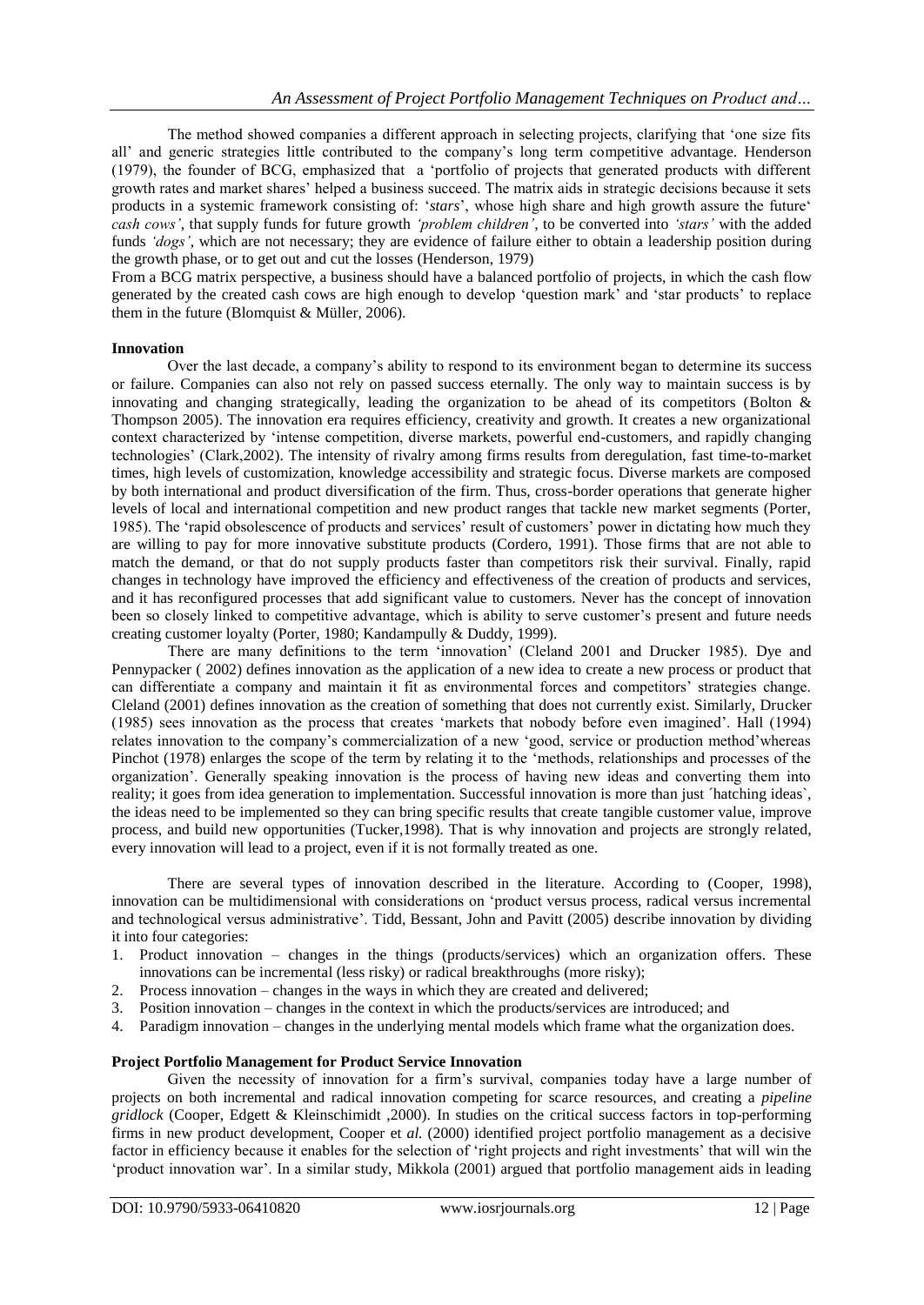The method showed companies a different approach in selecting projects, clarifying that "one size fits all" and generic strategies little contributed to the company"s long term competitive advantage. Henderson (1979), the founder of BCG, emphasized that a "portfolio of projects that generated products with different growth rates and market shares" helped a business succeed. The matrix aids in strategic decisions because it sets products in a systemic framework consisting of: '*stars*', whose high share and high growth assure the future' *cash cows'*, that supply funds for future growth *'problem children'*, to be converted into *'stars'* with the added funds *'dogs'*, which are not necessary; they are evidence of failure either to obtain a leadership position during the growth phase, or to get out and cut the losses (Henderson, 1979)

From a BCG matrix perspective, a business should have a balanced portfolio of projects, in which the cash flow generated by the created cash cows are high enough to develop "question mark" and "star products" to replace them in the future (Blomquist & Müller, 2006).

### **Innovation**

Over the last decade, a company"s ability to respond to its environment began to determine its success or failure. Companies can also not rely on passed success eternally. The only way to maintain success is by innovating and changing strategically, leading the organization to be ahead of its competitors (Bolton & Thompson 2005). The innovation era requires efficiency, creativity and growth. It creates a new organizational context characterized by "intense competition, diverse markets, powerful end-customers, and rapidly changing technologies" (Clark,2002). The intensity of rivalry among firms results from deregulation, fast time-to-market times, high levels of customization, knowledge accessibility and strategic focus. Diverse markets are composed by both international and product diversification of the firm. Thus, cross-border operations that generate higher levels of local and international competition and new product ranges that tackle new market segments (Porter, 1985). The "rapid obsolescence of products and services" result of customers" power in dictating how much they are willing to pay for more innovative substitute products (Cordero, 1991). Those firms that are not able to match the demand, or that do not supply products faster than competitors risk their survival. Finally, rapid changes in technology have improved the efficiency and effectiveness of the creation of products and services, and it has reconfigured processes that add significant value to customers. Never has the concept of innovation been so closely linked to competitive advantage, which is ability to serve customer"s present and future needs creating customer loyalty (Porter, 1980; Kandampully & Duddy, 1999).

There are many definitions to the term "innovation" (Cleland 2001 and Drucker 1985). Dye and Pennypacker ( 2002) defines innovation as the application of a new idea to create a new process or product that can differentiate a company and maintain it fit as environmental forces and competitors' strategies change. Cleland (2001) defines innovation as the creation of something that does not currently exist. Similarly, Drucker (1985) sees innovation as the process that creates "markets that nobody before even imagined". Hall (1994) relates innovation to the company"s commercialization of a new "good, service or production method"whereas Pinchot (1978) enlarges the scope of the term by relating it to the "methods, relationships and processes of the organization". Generally speaking innovation is the process of having new ideas and converting them into reality; it goes from idea generation to implementation. Successful innovation is more than just ´hatching ideas`, the ideas need to be implemented so they can bring specific results that create tangible customer value, improve process, and build new opportunities (Tucker,1998). That is why innovation and projects are strongly related, every innovation will lead to a project, even if it is not formally treated as one.

There are several types of innovation described in the literature. According to (Cooper, 1998), innovation can be multidimensional with considerations on "product versus process, radical versus incremental and technological versus administrative". Tidd, Bessant, John and Pavitt (2005) describe innovation by dividing it into four categories:

- 1. Product innovation changes in the things (products/services) which an organization offers. These innovations can be incremental (less risky) or radical breakthroughs (more risky);
- 2. Process innovation changes in the ways in which they are created and delivered;
- 3. Position innovation changes in the context in which the products/services are introduced; and
- 4. Paradigm innovation changes in the underlying mental models which frame what the organization does.

### **Project Portfolio Management for Product Service Innovation**

Given the necessity of innovation for a firm"s survival, companies today have a large number of projects on both incremental and radical innovation competing for scarce resources, and creating a *pipeline gridlock* (Cooper, Edgett & Kleinschimidt ,2000). In studies on the critical success factors in top-performing firms in new product development, Cooper et *al.* (2000) identified project portfolio management as a decisive factor in efficiency because it enables for the selection of "right projects and right investments" that will win the "product innovation war". In a similar study, Mikkola (2001) argued that portfolio management aids in leading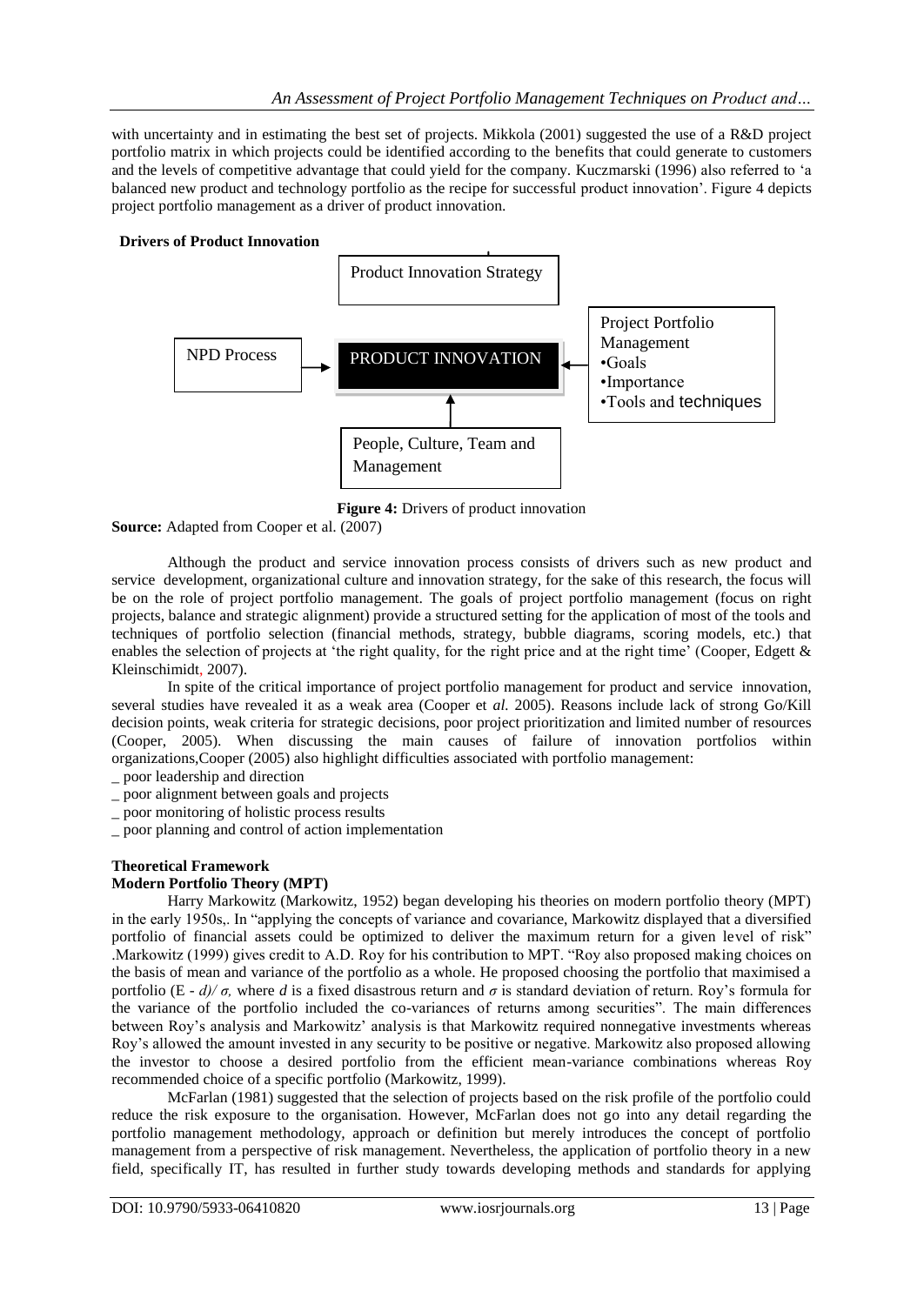with uncertainty and in estimating the best set of projects. Mikkola (2001) suggested the use of a R&D project portfolio matrix in which projects could be identified according to the benefits that could generate to customers and the levels of competitive advantage that could yield for the company. Kuczmarski (1996) also referred to "a balanced new product and technology portfolio as the recipe for successful product innovation". Figure 4 depicts project portfolio management as a driver of product innovation.

### **Drivers of Product Innovation**



**Figure 4:** Drivers of product innovation

**Source:** Adapted from Cooper et al. (2007)

Although the product and service innovation process consists of drivers such as new product and service development, organizational culture and innovation strategy, for the sake of this research, the focus will be on the role of project portfolio management. The goals of project portfolio management (focus on right projects, balance and strategic alignment) provide a structured setting for the application of most of the tools and techniques of portfolio selection (financial methods, strategy, bubble diagrams, scoring models, etc.) that enables the selection of projects at 'the right quality, for the right price and at the right time' (Cooper, Edgett  $\&$ Kleinschimidt, 2007).

In spite of the critical importance of project portfolio management for product and service innovation, several studies have revealed it as a weak area (Cooper et *al.* 2005). Reasons include lack of strong Go/Kill decision points, weak criteria for strategic decisions, poor project prioritization and limited number of resources (Cooper, 2005). When discussing the main causes of failure of innovation portfolios within organizations,Cooper (2005) also highlight difficulties associated with portfolio management:

- \_ poor leadership and direction
- \_ poor alignment between goals and projects
- \_ poor monitoring of holistic process results
- \_ poor planning and control of action implementation

## **Theoretical Framework**

### **Modern Portfolio Theory (MPT)**

Harry Markowitz (Markowitz, 1952) began developing his theories on modern portfolio theory (MPT) in the early 1950s,. In "applying the concepts of variance and covariance, Markowitz displayed that a diversified portfolio of financial assets could be optimized to deliver the maximum return for a given level of risk" .Markowitz (1999) gives credit to A.D. Roy for his contribution to MPT. "Roy also proposed making choices on the basis of mean and variance of the portfolio as a whole. He proposed choosing the portfolio that maximised a portfolio (E - *d)/ σ*, where *d* is a fixed disastrous return and *σ* is standard deviation of return. Roy's formula for the variance of the portfolio included the co-variances of returns among securities". The main differences between Roy"s analysis and Markowitz" analysis is that Markowitz required nonnegative investments whereas Roy"s allowed the amount invested in any security to be positive or negative. Markowitz also proposed allowing the investor to choose a desired portfolio from the efficient mean-variance combinations whereas Roy recommended choice of a specific portfolio (Markowitz, 1999).

McFarlan (1981) suggested that the selection of projects based on the risk profile of the portfolio could reduce the risk exposure to the organisation. However, McFarlan does not go into any detail regarding the portfolio management methodology, approach or definition but merely introduces the concept of portfolio management from a perspective of risk management. Nevertheless, the application of portfolio theory in a new field, specifically IT, has resulted in further study towards developing methods and standards for applying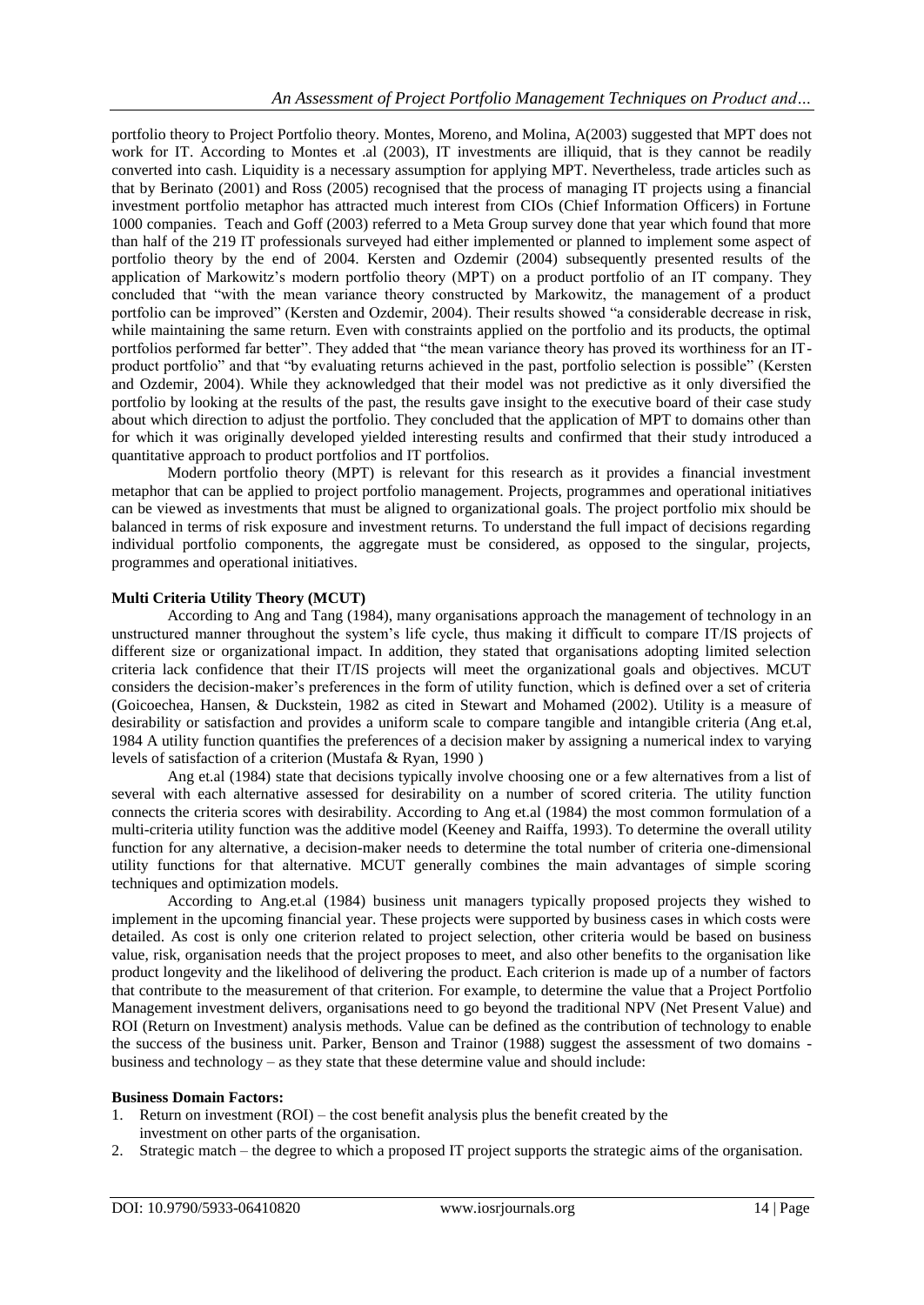portfolio theory to Project Portfolio theory. Montes, Moreno, and Molina, A(2003) suggested that MPT does not work for IT. According to Montes et .al (2003), IT investments are illiquid, that is they cannot be readily converted into cash. Liquidity is a necessary assumption for applying MPT. Nevertheless, trade articles such as that by Berinato (2001) and Ross (2005) recognised that the process of managing IT projects using a financial investment portfolio metaphor has attracted much interest from CIOs (Chief Information Officers) in Fortune 1000 companies. Teach and Goff (2003) referred to a Meta Group survey done that year which found that more than half of the 219 IT professionals surveyed had either implemented or planned to implement some aspect of portfolio theory by the end of 2004. Kersten and Ozdemir (2004) subsequently presented results of the application of Markowitz's modern portfolio theory (MPT) on a product portfolio of an IT company. They concluded that "with the mean variance theory constructed by Markowitz, the management of a product portfolio can be improved" (Kersten and Ozdemir, 2004). Their results showed "a considerable decrease in risk, while maintaining the same return. Even with constraints applied on the portfolio and its products, the optimal portfolios performed far better". They added that "the mean variance theory has proved its worthiness for an ITproduct portfolio" and that "by evaluating returns achieved in the past, portfolio selection is possible" (Kersten and Ozdemir, 2004). While they acknowledged that their model was not predictive as it only diversified the portfolio by looking at the results of the past, the results gave insight to the executive board of their case study about which direction to adjust the portfolio. They concluded that the application of MPT to domains other than for which it was originally developed yielded interesting results and confirmed that their study introduced a quantitative approach to product portfolios and IT portfolios.

Modern portfolio theory (MPT) is relevant for this research as it provides a financial investment metaphor that can be applied to project portfolio management. Projects, programmes and operational initiatives can be viewed as investments that must be aligned to organizational goals. The project portfolio mix should be balanced in terms of risk exposure and investment returns. To understand the full impact of decisions regarding individual portfolio components, the aggregate must be considered, as opposed to the singular, projects, programmes and operational initiatives.

### **Multi Criteria Utility Theory (MCUT)**

According to Ang and Tang (1984), many organisations approach the management of technology in an unstructured manner throughout the system"s life cycle, thus making it difficult to compare IT/IS projects of different size or organizational impact. In addition, they stated that organisations adopting limited selection criteria lack confidence that their IT/IS projects will meet the organizational goals and objectives. MCUT considers the decision-maker"s preferences in the form of utility function, which is defined over a set of criteria (Goicoechea, Hansen, & Duckstein, 1982 as cited in Stewart and Mohamed (2002). Utility is a measure of desirability or satisfaction and provides a uniform scale to compare tangible and intangible criteria (Ang et.al, 1984 A utility function quantifies the preferences of a decision maker by assigning a numerical index to varying levels of satisfaction of a criterion (Mustafa & Ryan, 1990 )

Ang et.al (1984) state that decisions typically involve choosing one or a few alternatives from a list of several with each alternative assessed for desirability on a number of scored criteria. The utility function connects the criteria scores with desirability. According to Ang et.al (1984) the most common formulation of a multi-criteria utility function was the additive model (Keeney and Raiffa, 1993). To determine the overall utility function for any alternative, a decision-maker needs to determine the total number of criteria one-dimensional utility functions for that alternative. MCUT generally combines the main advantages of simple scoring techniques and optimization models.

According to Ang.et.al (1984) business unit managers typically proposed projects they wished to implement in the upcoming financial year. These projects were supported by business cases in which costs were detailed. As cost is only one criterion related to project selection, other criteria would be based on business value, risk, organisation needs that the project proposes to meet, and also other benefits to the organisation like product longevity and the likelihood of delivering the product. Each criterion is made up of a number of factors that contribute to the measurement of that criterion. For example, to determine the value that a Project Portfolio Management investment delivers, organisations need to go beyond the traditional NPV (Net Present Value) and ROI (Return on Investment) analysis methods. Value can be defined as the contribution of technology to enable the success of the business unit. Parker, Benson and Trainor (1988) suggest the assessment of two domains business and technology – as they state that these determine value and should include:

### **Business Domain Factors:**

- 1. Return on investment (ROI) the cost benefit analysis plus the benefit created by the investment on other parts of the organisation.
- 2. Strategic match the degree to which a proposed IT project supports the strategic aims of the organisation.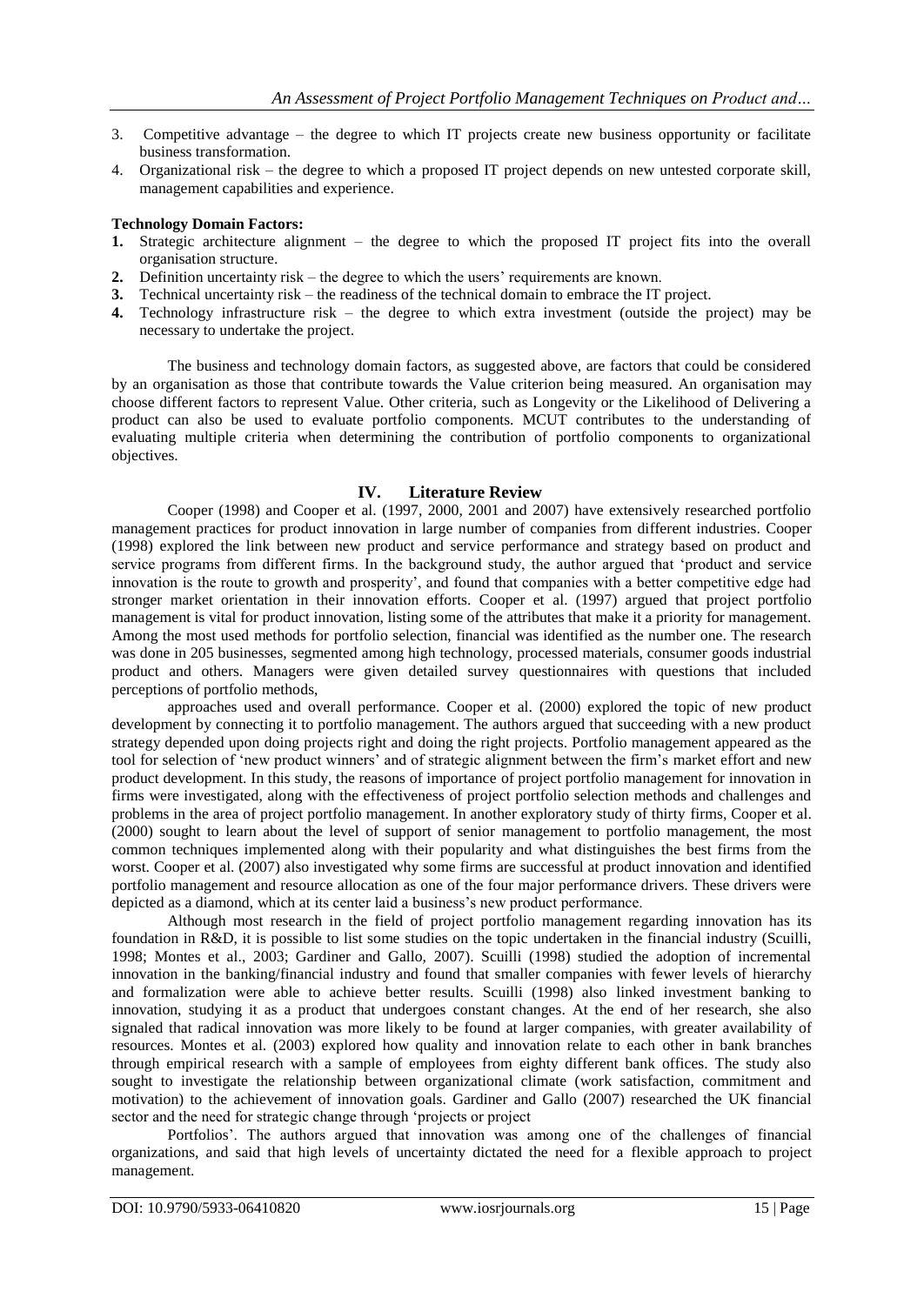- 3. Competitive advantage the degree to which IT projects create new business opportunity or facilitate business transformation.
- 4. Organizational risk the degree to which a proposed IT project depends on new untested corporate skill, management capabilities and experience.

### **Technology Domain Factors:**

- **1.** Strategic architecture alignment the degree to which the proposed IT project fits into the overall organisation structure.
- **2.** Definition uncertainty risk the degree to which the users' requirements are known.
- **3.** Technical uncertainty risk the readiness of the technical domain to embrace the IT project.
- **4.** Technology infrastructure risk the degree to which extra investment (outside the project) may be necessary to undertake the project.

The business and technology domain factors, as suggested above, are factors that could be considered by an organisation as those that contribute towards the Value criterion being measured. An organisation may choose different factors to represent Value. Other criteria, such as Longevity or the Likelihood of Delivering a product can also be used to evaluate portfolio components. MCUT contributes to the understanding of evaluating multiple criteria when determining the contribution of portfolio components to organizational objectives.

### **IV. Literature Review**

Cooper (1998) and Cooper et al. (1997, 2000, 2001 and 2007) have extensively researched portfolio management practices for product innovation in large number of companies from different industries. Cooper (1998) explored the link between new product and service performance and strategy based on product and service programs from different firms. In the background study, the author argued that "product and service innovation is the route to growth and prosperity", and found that companies with a better competitive edge had stronger market orientation in their innovation efforts. Cooper et al. (1997) argued that project portfolio management is vital for product innovation, listing some of the attributes that make it a priority for management. Among the most used methods for portfolio selection, financial was identified as the number one. The research was done in 205 businesses, segmented among high technology, processed materials, consumer goods industrial product and others. Managers were given detailed survey questionnaires with questions that included perceptions of portfolio methods,

approaches used and overall performance. Cooper et al. (2000) explored the topic of new product development by connecting it to portfolio management. The authors argued that succeeding with a new product strategy depended upon doing projects right and doing the right projects. Portfolio management appeared as the tool for selection of "new product winners" and of strategic alignment between the firm"s market effort and new product development. In this study, the reasons of importance of project portfolio management for innovation in firms were investigated, along with the effectiveness of project portfolio selection methods and challenges and problems in the area of project portfolio management. In another exploratory study of thirty firms, Cooper et al. (2000) sought to learn about the level of support of senior management to portfolio management, the most common techniques implemented along with their popularity and what distinguishes the best firms from the worst. Cooper et al. (2007) also investigated why some firms are successful at product innovation and identified portfolio management and resource allocation as one of the four major performance drivers. These drivers were depicted as a diamond, which at its center laid a business's new product performance.

Although most research in the field of project portfolio management regarding innovation has its foundation in R&D, it is possible to list some studies on the topic undertaken in the financial industry (Scuilli, 1998; Montes et al., 2003; Gardiner and Gallo, 2007). Scuilli (1998) studied the adoption of incremental innovation in the banking/financial industry and found that smaller companies with fewer levels of hierarchy and formalization were able to achieve better results. Scuilli (1998) also linked investment banking to innovation, studying it as a product that undergoes constant changes. At the end of her research, she also signaled that radical innovation was more likely to be found at larger companies, with greater availability of resources. Montes et al. (2003) explored how quality and innovation relate to each other in bank branches through empirical research with a sample of employees from eighty different bank offices. The study also sought to investigate the relationship between organizational climate (work satisfaction, commitment and motivation) to the achievement of innovation goals. Gardiner and Gallo (2007) researched the UK financial sector and the need for strategic change through "projects or project

Portfolios". The authors argued that innovation was among one of the challenges of financial organizations, and said that high levels of uncertainty dictated the need for a flexible approach to project management.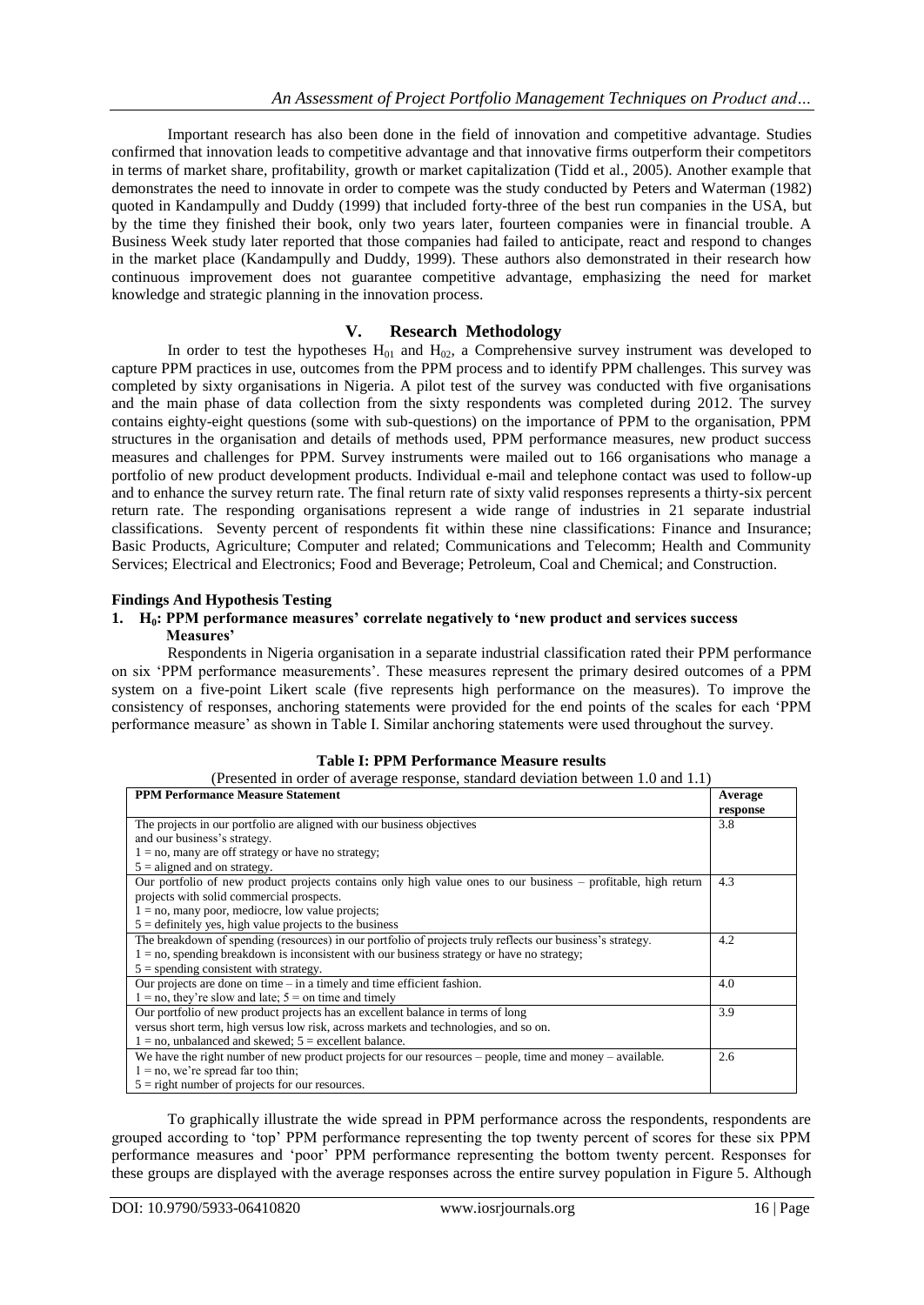Important research has also been done in the field of innovation and competitive advantage. Studies confirmed that innovation leads to competitive advantage and that innovative firms outperform their competitors in terms of market share, profitability, growth or market capitalization (Tidd et al., 2005). Another example that demonstrates the need to innovate in order to compete was the study conducted by Peters and Waterman (1982) quoted in Kandampully and Duddy (1999) that included forty-three of the best run companies in the USA, but by the time they finished their book, only two years later, fourteen companies were in financial trouble. A Business Week study later reported that those companies had failed to anticipate, react and respond to changes in the market place (Kandampully and Duddy, 1999). These authors also demonstrated in their research how continuous improvement does not guarantee competitive advantage, emphasizing the need for market knowledge and strategic planning in the innovation process.

### **V. Research Methodology**

In order to test the hypotheses  $H_{01}$  and  $H_{02}$ , a Comprehensive survey instrument was developed to capture PPM practices in use, outcomes from the PPM process and to identify PPM challenges. This survey was completed by sixty organisations in Nigeria. A pilot test of the survey was conducted with five organisations and the main phase of data collection from the sixty respondents was completed during 2012. The survey contains eighty-eight questions (some with sub-questions) on the importance of PPM to the organisation, PPM structures in the organisation and details of methods used, PPM performance measures, new product success measures and challenges for PPM. Survey instruments were mailed out to 166 organisations who manage a portfolio of new product development products. Individual e-mail and telephone contact was used to follow-up and to enhance the survey return rate. The final return rate of sixty valid responses represents a thirty-six percent return rate. The responding organisations represent a wide range of industries in 21 separate industrial classifications. Seventy percent of respondents fit within these nine classifications: Finance and Insurance; Basic Products, Agriculture; Computer and related; Communications and Telecomm; Health and Community Services; Electrical and Electronics; Food and Beverage; Petroleum, Coal and Chemical; and Construction.

### **Findings And Hypothesis Testing**

### **1. H0: PPM performance measures' correlate negatively to 'new product and services success Measures'**

Respondents in Nigeria organisation in a separate industrial classification rated their PPM performance on six "PPM performance measurements". These measures represent the primary desired outcomes of a PPM system on a five-point Likert scale (five represents high performance on the measures). To improve the consistency of responses, anchoring statements were provided for the end points of the scales for each "PPM performance measure" as shown in Table I. Similar anchoring statements were used throughout the survey.

|  | <b>Table I: PPM Performance Measure results</b> |
|--|-------------------------------------------------|
|--|-------------------------------------------------|

| (Presented in order of average response, standard deviation between 1.0 and 1.1)                              |          |  |  |
|---------------------------------------------------------------------------------------------------------------|----------|--|--|
| <b>PPM Performance Measure Statement</b>                                                                      |          |  |  |
|                                                                                                               | response |  |  |
| The projects in our portfolio are aligned with our business objectives                                        | 3.8      |  |  |
| and our business's strategy.                                                                                  |          |  |  |
| $1 = no$ , many are off strategy or have no strategy;                                                         |          |  |  |
| $5 =$ aligned and on strategy.                                                                                |          |  |  |
| Our portfolio of new product projects contains only high value ones to our business – profitable, high return | 4.3      |  |  |
| projects with solid commercial prospects.                                                                     |          |  |  |
| $1 = no$ , many poor, mediocre, low value projects;                                                           |          |  |  |
| $5 =$ definitely yes, high value projects to the business                                                     |          |  |  |
| The breakdown of spending (resources) in our portfolio of projects truly reflects our business's strategy.    | 4.2      |  |  |
| $1 =$ no, spending breakdown is inconsistent with our business strategy or have no strategy;                  |          |  |  |
| $5 =$ spending consistent with strategy.                                                                      |          |  |  |
| Our projects are done on time $-$ in a timely and time efficient fashion.                                     | 4.0      |  |  |
| $1 = no$ , they're slow and late; $5 = on$ time and timely                                                    |          |  |  |
| Our portfolio of new product projects has an excellent balance in terms of long                               | 3.9      |  |  |
| versus short term, high versus low risk, across markets and technologies, and so on.                          |          |  |  |
| $1 = no$ , unbalanced and skewed; $5 =$ excellent balance.                                                    |          |  |  |
| We have the right number of new product projects for our resources $-$ people, time and money $-$ available.  | 2.6      |  |  |
| $1 = no$ , we're spread far too thin;                                                                         |          |  |  |
| $5$ = right number of projects for our resources.                                                             |          |  |  |

To graphically illustrate the wide spread in PPM performance across the respondents, respondents are grouped according to "top" PPM performance representing the top twenty percent of scores for these six PPM performance measures and "poor" PPM performance representing the bottom twenty percent. Responses for these groups are displayed with the average responses across the entire survey population in Figure 5. Although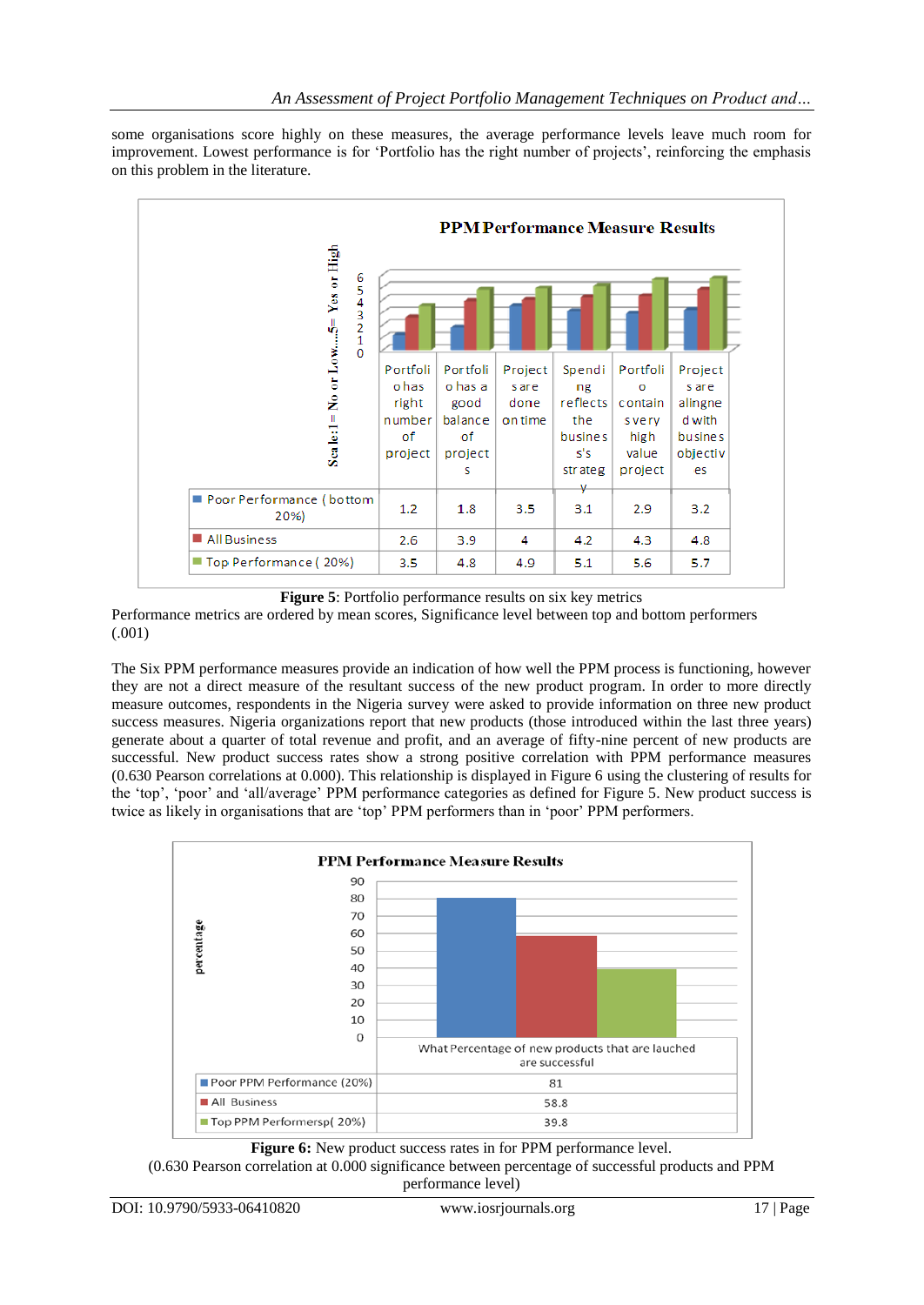some organisations score highly on these measures, the average performance levels leave much room for improvement. Lowest performance is for 'Portfolio has the right number of projects', reinforcing the emphasis on this problem in the literature.



**Figure 5**: Portfolio performance results on six key metrics

Performance metrics are ordered by mean scores, Significance level between top and bottom performers (.001)

The Six PPM performance measures provide an indication of how well the PPM process is functioning, however they are not a direct measure of the resultant success of the new product program. In order to more directly measure outcomes, respondents in the Nigeria survey were asked to provide information on three new product success measures. Nigeria organizations report that new products (those introduced within the last three years) generate about a quarter of total revenue and profit, and an average of fifty-nine percent of new products are successful. New product success rates show a strong positive correlation with PPM performance measures (0.630 Pearson correlations at 0.000). This relationship is displayed in Figure 6 using the clustering of results for the "top", "poor" and "all/average" PPM performance categories as defined for Figure 5. New product success is twice as likely in organisations that are "top" PPM performers than in "poor" PPM performers.



**Figure 6:** New product success rates in for PPM performance level. (0.630 Pearson correlation at 0.000 significance between percentage of successful products and PPM performance level)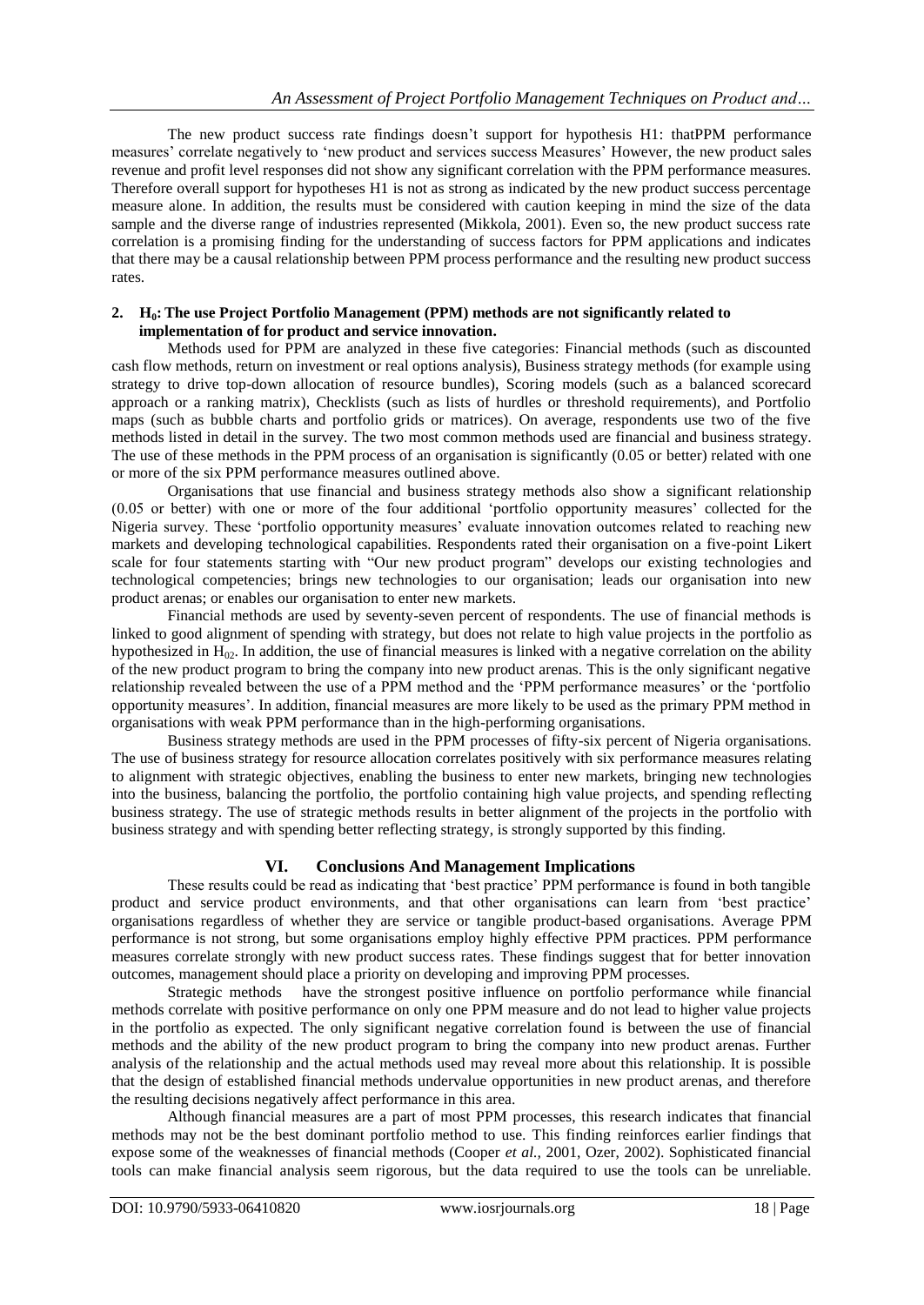The new product success rate findings doesn"t support for hypothesis H1: thatPPM performance measures" correlate negatively to "new product and services success Measures" However, the new product sales revenue and profit level responses did not show any significant correlation with the PPM performance measures. Therefore overall support for hypotheses H1 is not as strong as indicated by the new product success percentage measure alone. In addition, the results must be considered with caution keeping in mind the size of the data sample and the diverse range of industries represented (Mikkola, 2001). Even so, the new product success rate correlation is a promising finding for the understanding of success factors for PPM applications and indicates that there may be a causal relationship between PPM process performance and the resulting new product success rates.

### **2. H0: The use Project Portfolio Management (PPM) methods are not significantly related to implementation of for product and service innovation.**

Methods used for PPM are analyzed in these five categories: Financial methods (such as discounted cash flow methods, return on investment or real options analysis), Business strategy methods (for example using strategy to drive top-down allocation of resource bundles), Scoring models (such as a balanced scorecard approach or a ranking matrix), Checklists (such as lists of hurdles or threshold requirements), and Portfolio maps (such as bubble charts and portfolio grids or matrices). On average, respondents use two of the five methods listed in detail in the survey. The two most common methods used are financial and business strategy. The use of these methods in the PPM process of an organisation is significantly (0.05 or better) related with one or more of the six PPM performance measures outlined above.

Organisations that use financial and business strategy methods also show a significant relationship (0.05 or better) with one or more of the four additional "portfolio opportunity measures" collected for the Nigeria survey. These "portfolio opportunity measures" evaluate innovation outcomes related to reaching new markets and developing technological capabilities. Respondents rated their organisation on a five-point Likert scale for four statements starting with "Our new product program" develops our existing technologies and technological competencies; brings new technologies to our organisation; leads our organisation into new product arenas; or enables our organisation to enter new markets.

Financial methods are used by seventy-seven percent of respondents. The use of financial methods is linked to good alignment of spending with strategy, but does not relate to high value projects in the portfolio as hypothesized in  $H_{02}$ . In addition, the use of financial measures is linked with a negative correlation on the ability of the new product program to bring the company into new product arenas. This is the only significant negative relationship revealed between the use of a PPM method and the "PPM performance measures" or the "portfolio opportunity measures". In addition, financial measures are more likely to be used as the primary PPM method in organisations with weak PPM performance than in the high-performing organisations.

Business strategy methods are used in the PPM processes of fifty-six percent of Nigeria organisations. The use of business strategy for resource allocation correlates positively with six performance measures relating to alignment with strategic objectives, enabling the business to enter new markets, bringing new technologies into the business, balancing the portfolio, the portfolio containing high value projects, and spending reflecting business strategy. The use of strategic methods results in better alignment of the projects in the portfolio with business strategy and with spending better reflecting strategy, is strongly supported by this finding.

### **VI. Conclusions And Management Implications**

These results could be read as indicating that "best practice" PPM performance is found in both tangible product and service product environments, and that other organisations can learn from "best practice" organisations regardless of whether they are service or tangible product-based organisations. Average PPM performance is not strong, but some organisations employ highly effective PPM practices. PPM performance measures correlate strongly with new product success rates. These findings suggest that for better innovation outcomes, management should place a priority on developing and improving PPM processes.

Strategic methods have the strongest positive influence on portfolio performance while financial methods correlate with positive performance on only one PPM measure and do not lead to higher value projects in the portfolio as expected. The only significant negative correlation found is between the use of financial methods and the ability of the new product program to bring the company into new product arenas. Further analysis of the relationship and the actual methods used may reveal more about this relationship. It is possible that the design of established financial methods undervalue opportunities in new product arenas, and therefore the resulting decisions negatively affect performance in this area.

Although financial measures are a part of most PPM processes, this research indicates that financial methods may not be the best dominant portfolio method to use. This finding reinforces earlier findings that expose some of the weaknesses of financial methods (Cooper *et al.,* 2001, Ozer, 2002). Sophisticated financial tools can make financial analysis seem rigorous, but the data required to use the tools can be unreliable.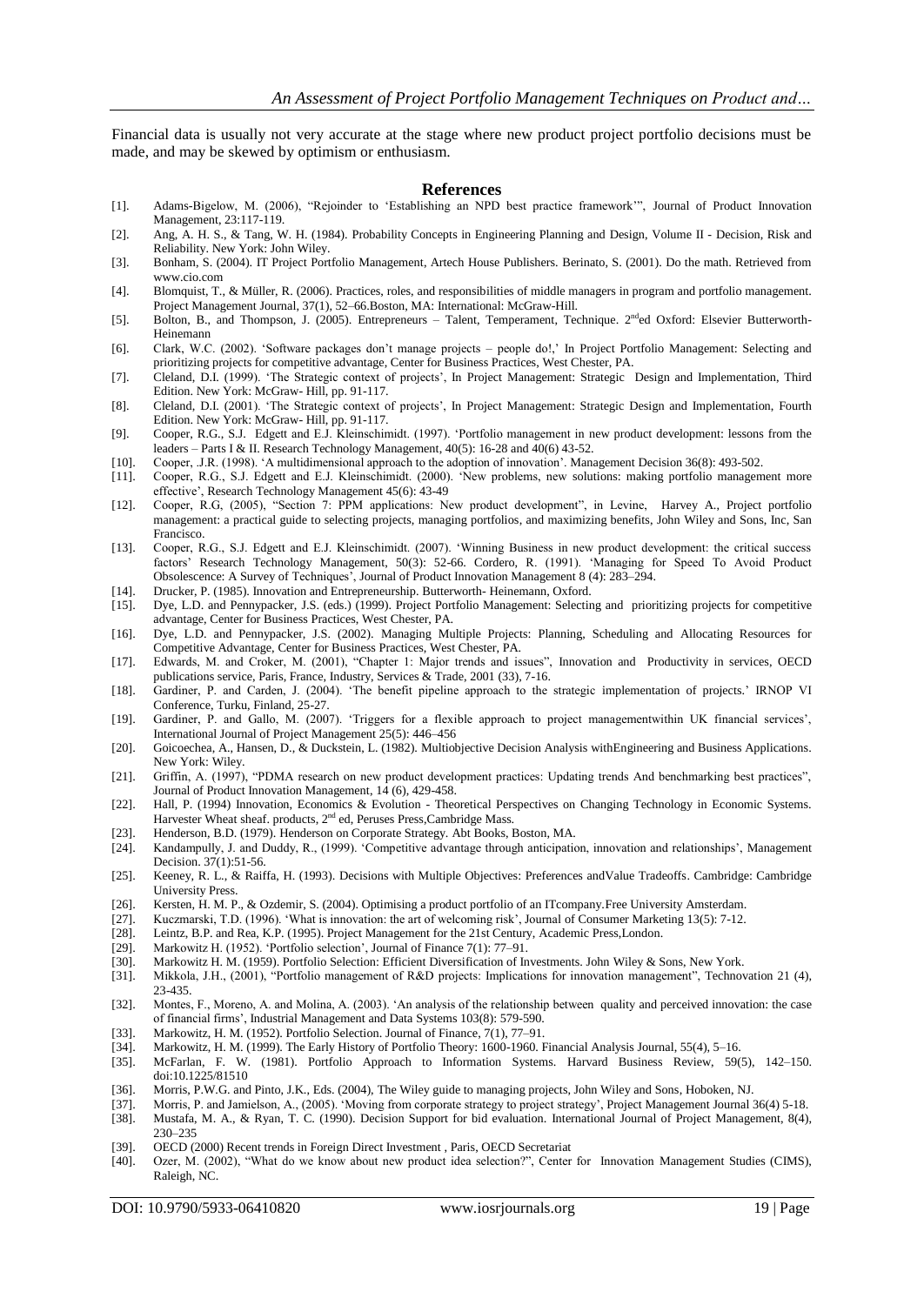Financial data is usually not very accurate at the stage where new product project portfolio decisions must be made, and may be skewed by optimism or enthusiasm.

#### **References**

- [1]. Adams-Bigelow, M. (2006), "Rejoinder to "Establishing an NPD best practice framework"", Journal of Product Innovation Management, 23:117-119.
- [2]. Ang, A. H. S., & Tang, W. H. (1984). Probability Concepts in Engineering Planning and Design, Volume II Decision, Risk and Reliability. New York: John Wiley.
- [3]. Bonham, S. (2004). IT Project Portfolio Management, Artech House Publishers. Berinato, S. (2001). Do the math. Retrieved from www.cio.com
- [4]. Blomquist, T., & Müller, R. (2006). Practices, roles, and responsibilities of middle managers in program and portfolio management. Project Management Journal, 37(1), 52–66.Boston, MA: International: McGraw-Hill.
- [5]. Bolton, B., and Thompson, J. (2005). Entrepreneurs Talent, Temperament, Technique. 2<sup>nd</sup>ed Oxford: Elsevier Butterworth-Heinemann
- [6]. Clark, W.C. (2002). "Software packages don"t manage projects people do!," In Project Portfolio Management: Selecting and prioritizing projects for competitive advantage, Center for Business Practices, West Chester, PA.
- [7]. Cleland, D.I. (1999). 'The Strategic context of projects', In Project Management: Strategic Design and Implementation, Third Edition. New York: McGraw- Hill, pp. 91-117.
- [8]. Cleland, D.I. (2001). "The Strategic context of projects", In Project Management: Strategic Design and Implementation, Fourth Edition. New York: McGraw- Hill, pp. 91-117.
- [9]. Cooper, R.G., S.J. Edgett and E.J. Kleinschimidt. (1997). "Portfolio management in new product development: lessons from the leaders – Parts I & II. Research Technology Management, 40(5): 16-28 and 40(6) 43-52.
- [10]. Cooper, .J.R. (1998). "A multidimensional approach to the adoption of innovation". Management Decision 36(8): 493-502.
- [11]. Cooper, R.G., S.J. Edgett and E.J. Kleinschimidt. (2000). "New problems, new solutions: making portfolio management more effective', Research Technology Management 45(6): 43-49
- [12]. Cooper, R.G, (2005), "Section 7: PPM applications: New product development", in Levine, Harvey A., Project portfolio management: a practical guide to selecting projects, managing portfolios, and maximizing benefits, John Wiley and Sons, Inc, San Francisco.
- [13]. Cooper, R.G., S.J. Edgett and E.J. Kleinschimidt. (2007). "Winning Business in new product development: the critical success factors" Research Technology Management, 50(3): 52-66. Cordero, R. (1991). "Managing for Speed To Avoid Product Obsolescence: A Survey of Techniques", Journal of Product Innovation Management 8 (4): 283–294.
- [14]. Drucker, P. (1985). Innovation and Entrepreneurship. Butterworth-Heinemann, Oxford. [15]. Dye, L.D. and Pennypacker, J.S. (eds.) (1999). Project Portfolio Management: Selecting
- [15]. Dye, L.D. and Pennypacker, J.S. (eds.) (1999). Project Portfolio Management: Selecting and prioritizing projects for competitive advantage, Center for Business Practices, West Chester, PA.
- [16]. Dye, L.D. and Pennypacker, J.S. (2002). Managing Multiple Projects: Planning, Scheduling and Allocating Resources for Competitive Advantage, Center for Business Practices, West Chester, PA.
- [17]. Edwards, M. and Croker, M. (2001), "Chapter 1: Major trends and issues", Innovation and Productivity in services, OECD publications service, Paris, France, Industry, Services & Trade, 2001 (33), 7-16.
- [18]. Gardiner, P. and Carden, J. (2004). "The benefit pipeline approach to the strategic implementation of projects." IRNOP VI Conference, Turku, Finland, 25-27.
- [19]. Gardiner, P. and Gallo, M. (2007). "Triggers for a flexible approach to project managementwithin UK financial services", International Journal of Project Management 25(5): 446–456
- [20]. Goicoechea, A., Hansen, D., & Duckstein, L. (1982). Multiobjective Decision Analysis withEngineering and Business Applications. New York: Wiley.
- [21]. Griffin, A. (1997), "PDMA research on new product development practices: Updating trends And benchmarking best practices", Journal of Product Innovation Management, 14 (6), 429-458.
- [22]. Hall, P. (1994) Innovation, Economics & Evolution Theoretical Perspectives on Changing Technology in Economic Systems. Harvester Wheat sheaf. products, 2<sup>nd</sup> ed, Peruses Press, Cambridge Mass.
- [23]. Henderson, B.D. (1979). Henderson on Corporate Strategy. Abt Books, Boston, MA.
- [24]. Kandampully, J. and Duddy, R., (1999). "Competitive advantage through anticipation, innovation and relationships", Management Decision. 37(1):51-56.
- [25]. Keeney, R. L., & Raiffa, H. (1993). Decisions with Multiple Objectives: Preferences andValue Tradeoffs. Cambridge: Cambridge University Press.
- [26]. Kersten, H. M. P., & Ozdemir, S. (2004). Optimising a product portfolio of an ITcompany. Free University Amsterdam.<br>[27]. Kuczmarski, T.D. (1996). 'What is innovation: the art of welcoming risk', Journal of Consumer
- Kuczmarski, T.D. (1996). 'What is innovation: the art of welcoming risk', Journal of Consumer Marketing 13(5): 7-12.
- [28]. Leintz, B.P. and Rea, K.P. (1995). Project Management for the 21st Century, Academic Press,London.
- [29]. Markowitz H. (1952). 'Portfolio selection', Journal of Finance 7(1): 77–91.<br>[30]. Markowitz H. M. (1959). Portfolio Selection: Efficient Diversification of Ir
- Markowitz H. M. (1959). Portfolio Selection: Efficient Diversification of Investments. John Wiley & Sons, New York.
- [31]. Mikkola, J.H., (2001), "Portfolio management of R&D projects: Implications for innovation management", Technovation 21 (4), 23-435.
- [32]. Montes, F., Moreno, A. and Molina, A. (2003). "An analysis of the relationship between quality and perceived innovation: the case of financial firms", Industrial Management and Data Systems 103(8): 579-590.
- [33]. Markowitz, H. M. (1952). Portfolio Selection. Journal of Finance, 7(1), 77–91.
- [34]. Markowitz, H. M. (1999). The Early History of Portfolio Theory: 1600-1960. Financial Analysis Journal, 55(4), 5–16.<br>[35]. McFarlan, F. W. (1981). Portfolio Approach to Information Systems. Harvard Business Review, 59
- [35]. McFarlan, F. W. (1981). Portfolio Approach to Information Systems. Harvard Business Review, 59(5), 142–150. doi:10.1225/81510
- [36]. Morris, P.W.G. and Pinto, J.K., Eds. (2004), The Wiley guide to managing projects, John Wiley and Sons, Hoboken, NJ.
- [37]. Morris, P. and Jamielson, A., (2005). 'Moving from corporate strategy to project strategy', Project Management Journal 36(4) 5-18.<br>[38]. Mustafa, M. A., & Ryan, T. C. (1990). Decision Support for bid evaluation. Inte [38]. Mustafa, M. A., & Ryan, T. C. (1990). Decision Support for bid evaluation. International Journal of Project Management, 8(4),
- 230–235
- [39]. OECD (2000) Recent trends in Foreign Direct Investment, Paris, OECD Secretariat [40]. Ozer, M. (2002), "What do we know about new product idea selection?", Center Ozer, M. (2002), "What do we know about new product idea selection?", Center for Innovation Management Studies (CIMS), Raleigh, NC.